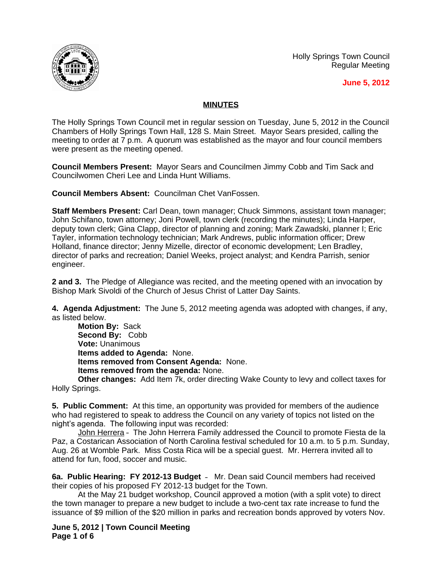Holly Springs Town Council Regular Meeting





## **MINUTES**

The Holly Springs Town Council met in regular session on Tuesday, June 5, 2012 in the Council Chambers of Holly Springs Town Hall, 128 S. Main Street. Mayor Sears presided, calling the meeting to order at 7 p.m. A quorum was established as the mayor and four council members were present as the meeting opened.

**Council Members Present:** Mayor Sears and Councilmen Jimmy Cobb and Tim Sack and Councilwomen Cheri Lee and Linda Hunt Williams.

**Council Members Absent:** Councilman Chet VanFossen.

**Staff Members Present:** Carl Dean, town manager; Chuck Simmons, assistant town manager; John Schifano, town attorney; Joni Powell, town clerk (recording the minutes); Linda Harper, deputy town clerk; Gina Clapp, director of planning and zoning; Mark Zawadski, planner I; Eric Tayler, information technology technician; Mark Andrews, public information officer; Drew Holland, finance director; Jenny Mizelle, director of economic development; Len Bradley, director of parks and recreation; Daniel Weeks, project analyst; and Kendra Parrish, senior engineer.

**2 and 3.** The Pledge of Allegiance was recited, and the meeting opened with an invocation by Bishop Mark Sivoldi of the Church of Jesus Christ of Latter Day Saints.

**4. Agenda Adjustment:** The June 5, 2012 meeting agenda was adopted with changes, if any, as listed below.

**Motion By:** Sack **Second By:** Cobb **Vote:** Unanimous **Items added to Agenda:** None. **Items removed from Consent Agenda:** None. **Items removed from the agenda:** None.

**Other changes:** Add Item 7k, order directing Wake County to levy and collect taxes for Holly Springs.

**5. Public Comment:** At this time, an opportunity was provided for members of the audience who had registered to speak to address the Council on any variety of topics not listed on the night's agenda. The following input was recorded:

John Herrera – The John Herrera Family addressed the Council to promote Fiesta de la Paz, a Costarican Association of North Carolina festival scheduled for 10 a.m. to 5 p.m. Sunday, Aug. 26 at Womble Park. Miss Costa Rica will be a special guest. Mr. Herrera invited all to attend for fun, food, soccer and music.

**6a. Public Hearing: FY 2012-13 Budget** – Mr. Dean said Council members had received their copies of his proposed FY 2012-13 budget for the Town.

At the May 21 budget workshop, Council approved a motion (with a split vote) to direct the town manager to prepare a new budget to include a two-cent tax rate increase to fund the issuance of \$9 million of the \$20 million in parks and recreation bonds approved by voters Nov.

**June 5, 2012 | Town Council Meeting Page 1 of 6**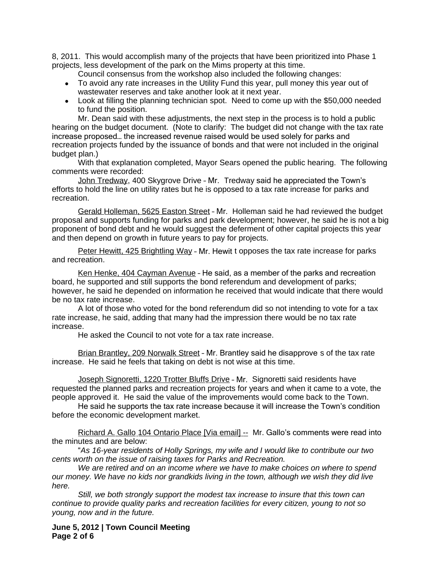8, 2011. This would accomplish many of the projects that have been prioritized into Phase 1 projects, less development of the park on the Mims property at this time.

Council consensus from the workshop also included the following changes:

- To avoid any rate increases in the Utility Fund this year, pull money this year out of wastewater reserves and take another look at it next year.
- Look at filling the planning technician spot. Need to come up with the \$50,000 needed to fund the position.

Mr. Dean said with these adjustments, the next step in the process is to hold a public hearing on the budget document. (Note to clarify: The budget did not change with the tax rate increase proposed… the increased revenue raised would be used solely for parks and recreation projects funded by the issuance of bonds and that were not included in the original budget plan.)

With that explanation completed, Mayor Sears opened the public hearing. The following comments were recorded:

John Tredway, 400 Skygrove Drive – Mr. Tredway said he appreciated the Town's efforts to hold the line on utility rates but he is opposed to a tax rate increase for parks and recreation.

Gerald Holleman, 5625 Easton Street – Mr. Holleman said he had reviewed the budget proposal and supports funding for parks and park development; however, he said he is not a big proponent of bond debt and he would suggest the deferment of other capital projects this year and then depend on growth in future years to pay for projects.

Peter Hewitt, 425 Brightling Way – Mr. Hewit t opposes the tax rate increase for parks and recreation.

Ken Henke, 404 Cayman Avenue – He said, as a member of the parks and recreation board, he supported and still supports the bond referendum and development of parks; however, he said he depended on information he received that would indicate that there would be no tax rate increase.

A lot of those who voted for the bond referendum did so not intending to vote for a tax rate increase, he said, adding that many had the impression there would be no tax rate increase.

He asked the Council to not vote for a tax rate increase.

Brian Brantley, 209 Norwalk Street - Mr. Brantley said he disapprove s of the tax rate increase. He said he feels that taking on debt is not wise at this time.

Joseph Signoretti, 1220 Trotter Bluffs Drive - Mr. Signoretti said residents have requested the planned parks and recreation projects for years and when it came to a vote, the people approved it. He said the value of the improvements would come back to the Town.

He said he supports the tax rate increase because it will increase the Town's condition before the economic development market.

Richard A. Gallo 104 Ontario Place [Via email] -- Mr. Gallo's comments were read into the minutes and are below:

"*As 16-year residents of Holly Springs, my wife and I would like to contribute our two cents worth on the issue of raising taxes for Parks and Recreation.*

*We are retired and on an income where we have to make choices on where to spend our money. We have no kids nor grandkids living in the town, although we wish they did live here.*

*Still, we both strongly support the modest tax increase to insure that this town can continue to provide quality parks and recreation facilities for every citizen, young to not so young, now and in the future.*

**June 5, 2012 | Town Council Meeting Page 2 of 6**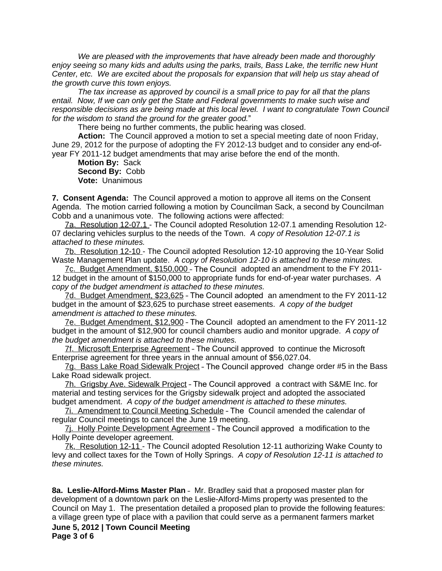*We are pleased with the improvements that have already been made and thoroughly enjoy seeing so many kids and adults using the parks, trails, Bass Lake, the terrific new Hunt Center, etc. We are excited about the proposals for expansion that will help us stay ahead of the growth curve this town enjoys.*

*The tax increase as approved by council is a small price to pay for all that the plans entail. Now, If we can only get the State and Federal governments to make such wise and responsible decisions as are being made at this local level. I want to congratulate Town Council for the wisdom to stand the ground for the greater good.*"

There being no further comments, the public hearing was closed.

**Action:** The Council approved a motion to set a special meeting date of noon Friday, June 29, 2012 for the purpose of adopting the FY 2012-13 budget and to consider any end-ofyear FY 2011-12 budget amendments that may arise before the end of the month.

**Motion By:** Sack **Second By:** Cobb **Vote:** Unanimous

**7. Consent Agenda:** The Council approved a motion to approve all items on the Consent Agenda. The motion carried following a motion by Councilman Sack, a second by Councilman Cobb and a unanimous vote. The following actions were affected:

7a. Resolution 12-07.1 - The Council adopted Resolution 12-07.1 amending Resolution 12- 07 declaring vehicles surplus to the needs of the Town. *A copy of Resolution 12-07.1 is attached to these minutes.*

7b. Resolution 12-10 - The Council adopted Resolution 12-10 approving the 10-Year Solid Waste Management Plan update. *A copy of Resolution 12-10 is attached to these minutes.*

7c. Budget Amendment, \$150,000 – The Council adopted an amendment to the FY 2011- 12 budget in the amount of \$150,000 to appropriate funds for end-of-year water purchases. *A copy of the budget amendment is attached to these minutes.*

7d. Budget Amendment, \$23,625 – The Council adopted an amendment to the FY 2011-12 budget in the amount of \$23,625 to purchase street easements. *A copy of the budget amendment is attached to these minutes.*

7e. Budget Amendment, \$12,900 – The Council adopted an amendment to the FY 2011-12 budget in the amount of \$12,900 for council chambers audio and monitor upgrade. *A copy of the budget amendment is attached to these minutes.*

7f. Microsoft Enterprise Agreement - The Council approved to continue the Microsoft Enterprise agreement for three years in the annual amount of \$56,027.04.

7g. Bass Lake Road Sidewalk Project – The Council approved change order #5 in the Bass Lake Road sidewalk project.

7h. Grigsby Ave. Sidewalk Project – The Council approved a contract with S&ME Inc. for material and testing services for the Grigsby sidewalk project and adopted the associated budget amendment. *A copy of the budget amendment is attached to these minutes.*

7i. Amendment to Council Meeting Schedule – The Council amended the calendar of regular Council meetings to cancel the June 19 meeting.

7j. Holly Pointe Development Agreement – The Council approved a modification to the Holly Pointe developer agreement.

7k. Resolution 12-11 - The Council adopted Resolution 12-11 authorizing Wake County to levy and collect taxes for the Town of Holly Springs. *A copy of Resolution 12-11 is attached to these minutes.*

**June 5, 2012 | Town Council Meeting Page 3 of 6 8a. Leslie-Alford-Mims Master Plan** – Mr. Bradley said that a proposed master plan for development of a downtown park on the Leslie-Alford-Mims property was presented to the Council on May 1. The presentation detailed a proposed plan to provide the following features: a village green type of place with a pavilion that could serve as a permanent farmers market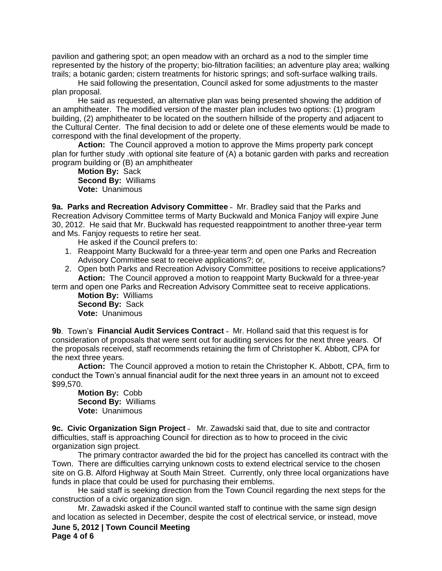pavilion and gathering spot; an open meadow with an orchard as a nod to the simpler time represented by the history of the property; bio-filtration facilities; an adventure play area; walking trails; a botanic garden; cistern treatments for historic springs; and soft-surface walking trails.

He said following the presentation, Council asked for some adjustments to the master plan proposal.

He said as requested, an alternative plan was being presented showing the addition of an amphitheater. The modified version of the master plan includes two options: (1) program building, (2) amphitheater to be located on the southern hillside of the property and adjacent to the Cultural Center. The final decision to add or delete one of these elements would be made to correspond with the final development of the property.

**Action:** The Council approved a motion to approve the Mims property park concept plan for further study .with optional site feature of (A) a botanic garden with parks and recreation program building or (B) an amphitheater

**Motion By:** Sack **Second By:** Williams **Vote:** Unanimous

**9a. Parks and Recreation Advisory Committee** – Mr. Bradley said that the Parks and Recreation Advisory Committee terms of Marty Buckwald and Monica Fanjoy will expire June 30, 2012. He said that Mr. Buckwald has requested reappointment to another three-year term and Ms. Fanjoy requests to retire her seat.

He asked if the Council prefers to:

- 1. Reappoint Marty Buckwald for a three-year term and open one Parks and Recreation Advisory Committee seat to receive applications?; or,
- 2. Open both Parks and Recreation Advisory Committee positions to receive applications? **Action:** The Council approved a motion to reappoint Marty Buckwald for a three-year

term and open one Parks and Recreation Advisory Committee seat to receive applications.

**Motion By:** Williams **Second By:** Sack **Vote:** Unanimous

**9b**. Town's **Financial Audit Services Contract** – Mr. Holland said that this request is for consideration of proposals that were sent out for auditing services for the next three years. Of the proposals received, staff recommends retaining the firm of Christopher K. Abbott, CPA for the next three years.

**Action:** The Council approved a motion to retain the Christopher K. Abbott, CPA, firm to conduct the Town's annual financial audit for the next three years in an amount not to exceed \$99,570.

**Motion By:** Cobb **Second By:** Williams **Vote:** Unanimous

**9c. Civic Organization Sign Project** – Mr. Zawadski said that, due to site and contractor difficulties, staff is approaching Council for direction as to how to proceed in the civic organization sign project.

The primary contractor awarded the bid for the project has cancelled its contract with the Town. There are difficulties carrying unknown costs to extend electrical service to the chosen site on G.B. Alford Highway at South Main Street. Currently, only three local organizations have funds in place that could be used for purchasing their emblems.

He said staff is seeking direction from the Town Council regarding the next steps for the construction of a civic organization sign.

**June 5, 2012 | Town Council Meeting Page 4 of 6** Mr. Zawadski asked if the Council wanted staff to continue with the same sign design and location as selected in December, despite the cost of electrical service, or instead, move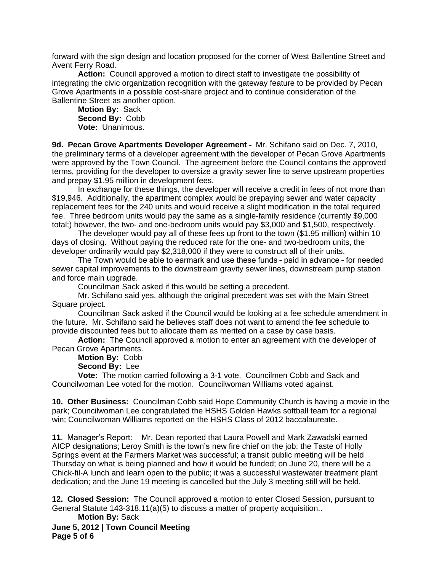forward with the sign design and location proposed for the corner of West Ballentine Street and Avent Ferry Road.

**Action:** Council approved a motion to direct staff to investigate the possibility of integrating the civic organization recognition with the gateway feature to be provided by Pecan Grove Apartments in a possible cost-share project and to continue consideration of the Ballentine Street as another option.

**Motion By:** Sack **Second By:** Cobb **Vote:** Unanimous.

**9d. Pecan Grove Apartments Developer Agreement** – Mr. Schifano said on Dec. 7, 2010, the preliminary terms of a developer agreement with the developer of Pecan Grove Apartments were approved by the Town Council. The agreement before the Council contains the approved terms, providing for the developer to oversize a gravity sewer line to serve upstream properties and prepay \$1.95 million in development fees.

In exchange for these things, the developer will receive a credit in fees of not more than \$19,946. Additionally, the apartment complex would be prepaying sewer and water capacity replacement fees for the 240 units and would receive a slight modification in the total required fee. Three bedroom units would pay the same as a single-family residence (currently \$9,000 total;) however, the two- and one-bedroom units would pay \$3,000 and \$1,500, respectively.

The developer would pay all of these fees up front to the town (\$1.95 million) within 10 days of closing. Without paying the reduced rate for the one- and two-bedroom units, the developer ordinarily would pay \$2,318,000 if they were to construct all of their units.

The Town would be able to earmark and use these funds – paid in advance – for needed sewer capital improvements to the downstream gravity sewer lines, downstream pump station and force main upgrade.

Councilman Sack asked if this would be setting a precedent.

Mr. Schifano said yes, although the original precedent was set with the Main Street Square project.

Councilman Sack asked if the Council would be looking at a fee schedule amendment in the future. Mr. Schifano said he believes staff does not want to amend the fee schedule to provide discounted fees but to allocate them as merited on a case by case basis.

**Action:** The Council approved a motion to enter an agreement with the developer of Pecan Grove Apartments.

**Motion By:** Cobb

**Second By:** Lee

**Vote:** The motion carried following a 3-1 vote. Councilmen Cobb and Sack and Councilwoman Lee voted for the motion. Councilwoman Williams voted against.

**10. Other Business:** Councilman Cobb said Hope Community Church is having a movie in the park; Councilwoman Lee congratulated the HSHS Golden Hawks softball team for a regional win; Councilwoman Williams reported on the HSHS Class of 2012 baccalaureate.

**11**. Manager's Report: Mr. Dean reported that Laura Powell and Mark Zawadski earned AICP designations; Leroy Smith is the town's new fire chief on the job; the Taste of Holly Springs event at the Farmers Market was successful; a transit public meeting will be held Thursday on what is being planned and how it would be funded; on June 20, there will be a Chick-fil-A lunch and learn open to the public; it was a successful wastewater treatment plant dedication; and the June 19 meeting is cancelled but the July 3 meeting still will be held.

**12. Closed Session:** The Council approved a motion to enter Closed Session, pursuant to General Statute 143-318.11(a)(5) to discuss a matter of property acquisition.. **Motion By:** Sack

**June 5, 2012 | Town Council Meeting Page 5 of 6**